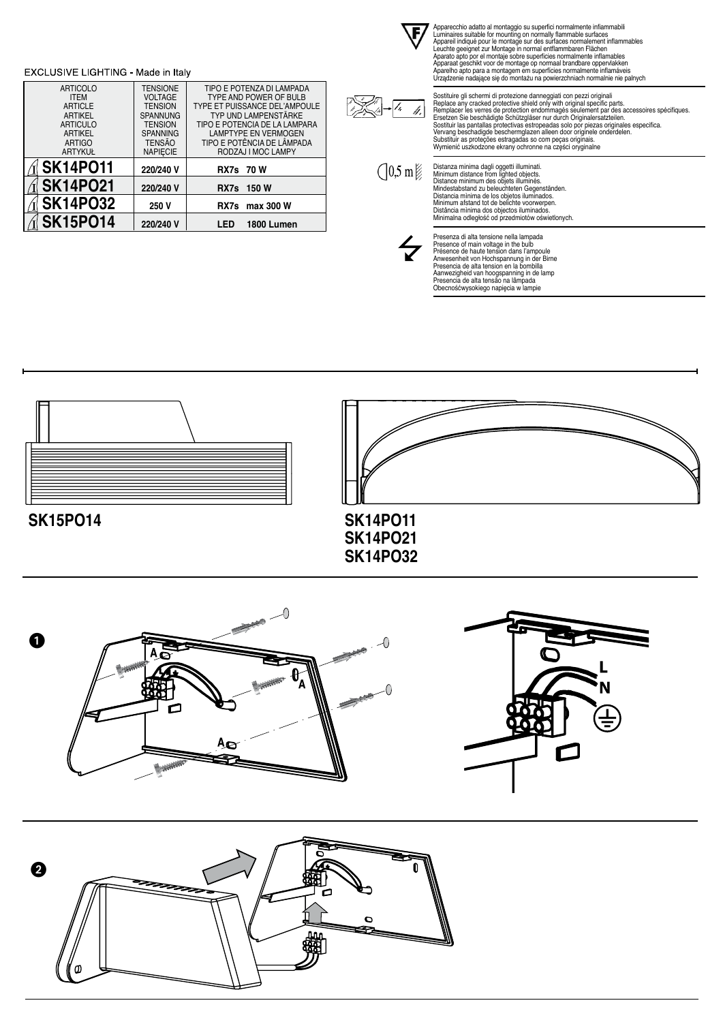









Distanza munma agaju oggetti ulluminati.<br>Minimum distance from lighted objects.<br>Distance minimum des objets illuminés.<br>Mindestabstand zu beleuchteten Gegenständen.<br>Mindestabstand zu beleuchteten Gegenständen.<br>Distancia min

Presenza di alta tensione nella lampada<br>Presence of main voltage in the bulb<br>Présence de haute tension dans l'ampoule<br>Anwesenheit von Hochspannung in der Birne<br>Presencia de alta tension en la bombilla<br>Aanwezigheid van hoog



### EXCLUSIVE LIGHTING - Made in Italy ARTICOLO **TENSIONE** TIPO E POTENZA DI LAMPADA ITEM VOLTAGE TYPE AND POWER OF BULB ARTICLE TENSION TYPE ET PUISSANCE DEL'AMPOULE ARTIKEL SPANNUNG TYP UND LAMPENSTÄRKE TIPO E POTENCIA DE LA LAMPARA ARTICULO TENSION



n<br>VIKS

 $\sqrt{7}$ M, Apparecchio adatto al montaggo su superfici normalmente infiammabile<br>Luminaires suitable for mounting on normally flammable surfaces<br>Apparell indiqué pour le montage sur des surfaces normalement inflammables<br>Leuchte geeign

Sostiture gli schermi di protezione danneggiati con pezzi originali<br>Replace any cracked protective shield only with original specific parts.<br>Remplacer les verres de protection endommagés seulement par des accessoires spéci